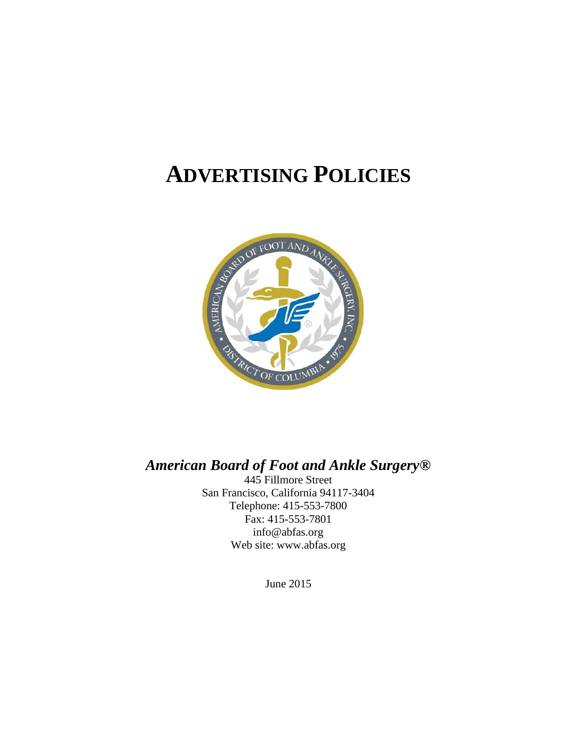# **ADVERTISING POLICIES**



## *American Board of Foot and Ankle Surgery®*

445 Fillmore Street San Francisco, California 94117-3404 Telephone: 415-553-7800 Fax: 415-553-7801 info@abfas.org Web site: www.abfas.org

June 2015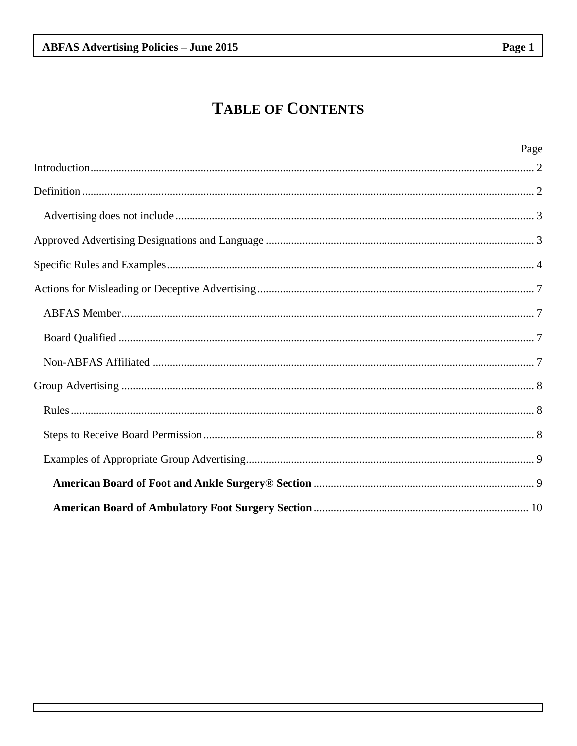## **TABLE OF CONTENTS**

| Page |
|------|
|      |
|      |
|      |
|      |
|      |
|      |
|      |
|      |
|      |
|      |
|      |
|      |
|      |
|      |
|      |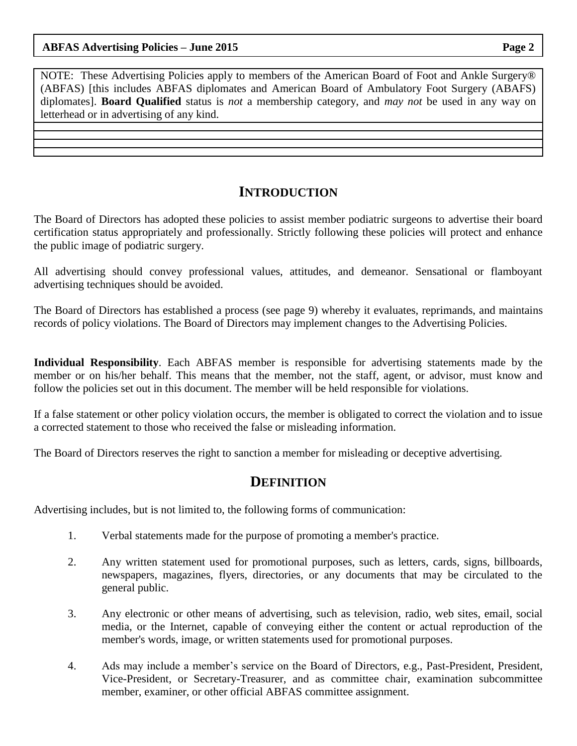NOTE: These Advertising Policies apply to members of the American Board of Foot and Ankle Surgery® (ABFAS) [this includes ABFAS diplomates and American Board of Ambulatory Foot Surgery (ABAFS) diplomates]. **Board Qualified** status is *not* a membership category, and *may not* be used in any way on letterhead or in advertising of any kind.

### <span id="page-2-0"></span>**INTRODUCTION**

The Board of Directors has adopted these policies to assist member podiatric surgeons to advertise their board certification status appropriately and professionally. Strictly following these policies will protect and enhance the public image of podiatric surgery.

All advertising should convey professional values, attitudes, and demeanor. Sensational or flamboyant advertising techniques should be avoided.

The Board of Directors has established a process (see page 9) whereby it evaluates, reprimands, and maintains records of policy violations. The Board of Directors may implement changes to the Advertising Policies.

**Individual Responsibility**. Each ABFAS member is responsible for advertising statements made by the member or on his/her behalf. This means that the member, not the staff, agent, or advisor, must know and follow the policies set out in this document. The member will be held responsible for violations.

If a false statement or other policy violation occurs, the member is obligated to correct the violation and to issue a corrected statement to those who received the false or misleading information.

The Board of Directors reserves the right to sanction a member for misleading or deceptive advertising.

#### <span id="page-2-1"></span>**DEFINITION**

Advertising includes, but is not limited to, the following forms of communication:

- 1. Verbal statements made for the purpose of promoting a member's practice.
- 2. Any written statement used for promotional purposes, such as letters, cards, signs, billboards, newspapers, magazines, flyers, directories, or any documents that may be circulated to the general public.
- 3. Any electronic or other means of advertising, such as television, radio, web sites, email, social media, or the Internet, capable of conveying either the content or actual reproduction of the member's words, image, or written statements used for promotional purposes.
- 4. Ads may include a member's service on the Board of Directors, e.g., Past-President, President, Vice-President, or Secretary-Treasurer, and as committee chair, examination subcommittee member, examiner, or other official ABFAS committee assignment.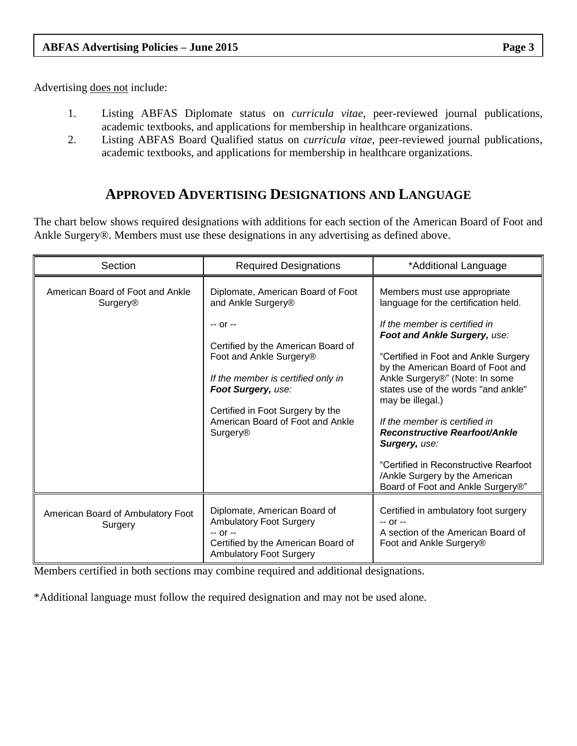Advertising does not include:

- <span id="page-3-0"></span>1. Listing ABFAS Diplomate status on *curricula vitae*, peer-reviewed journal publications, academic textbooks, and applications for membership in healthcare organizations.
- 2. Listing ABFAS Board Qualified status on *curricula vitae*, peer-reviewed journal publications, academic textbooks, and applications for membership in healthcare organizations.

## <span id="page-3-1"></span>**APPROVED ADVERTISING DESIGNATIONS AND LANGUAGE**

The chart below shows required designations with additions for each section of the American Board of Foot and Ankle Surgery®. Members must use these designations in any advertising as defined above.

| Section                                             | <b>Required Designations</b>                                                                                                                                                                                                                                                                                | *Additional Language                                                                                                                                                                                                                                                                                                                                                                                                                                                                                                             |
|-----------------------------------------------------|-------------------------------------------------------------------------------------------------------------------------------------------------------------------------------------------------------------------------------------------------------------------------------------------------------------|----------------------------------------------------------------------------------------------------------------------------------------------------------------------------------------------------------------------------------------------------------------------------------------------------------------------------------------------------------------------------------------------------------------------------------------------------------------------------------------------------------------------------------|
| American Board of Foot and Ankle<br><b>Surgery®</b> | Diplomate, American Board of Foot<br>and Ankle Surgery <sup>®</sup><br>$-0r -$<br>Certified by the American Board of<br>Foot and Ankle Surgery®<br>If the member is certified only in<br>Foot Surgery, use:<br>Certified in Foot Surgery by the<br>American Board of Foot and Ankle<br>Surgery <sup>®</sup> | Members must use appropriate<br>language for the certification held.<br>If the member is certified in<br>Foot and Ankle Surgery, use:<br>"Certified in Foot and Ankle Surgery<br>by the American Board of Foot and<br>Ankle Surgery®" (Note: In some<br>states use of the words "and ankle"<br>may be illegal.)<br>If the member is certified in<br><b>Reconstructive Rearfoot/Ankle</b><br><b>Surgery, use:</b><br>"Certified in Reconstructive Rearfoot<br>/Ankle Surgery by the American<br>Board of Foot and Ankle Surgery®" |
| American Board of Ambulatory Foot<br>Surgery        | Diplomate, American Board of<br><b>Ambulatory Foot Surgery</b><br>$-0r -$<br>Certified by the American Board of<br><b>Ambulatory Foot Surgery</b>                                                                                                                                                           | Certified in ambulatory foot surgery<br>$-0r -$<br>A section of the American Board of<br>Foot and Ankle Surgery <sup>®</sup>                                                                                                                                                                                                                                                                                                                                                                                                     |

Members certified in both sections may combine required and additional designations.

\*Additional language must follow the required designation and may not be used alone.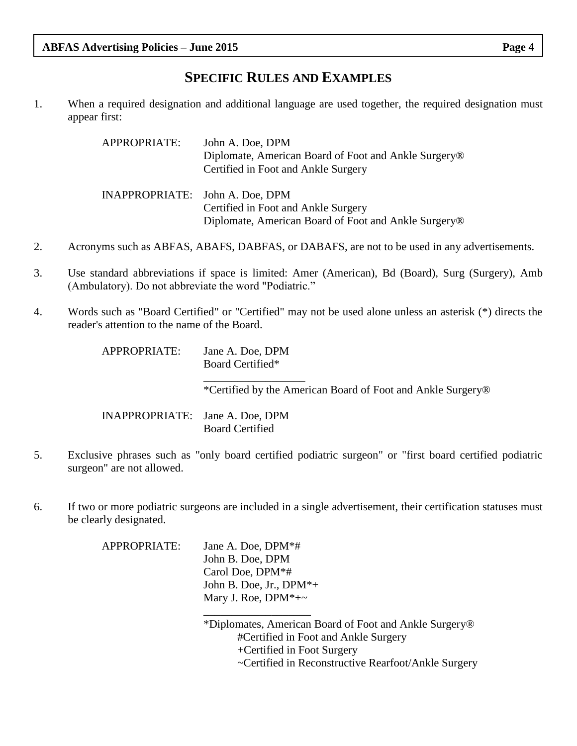### <span id="page-4-0"></span>**SPECIFIC RULES AND EXAMPLES**

1. When a required designation and additional language are used together, the required designation must appear first:

| APPROPRIATE:                    | John A. Doe, DPM                                                 |
|---------------------------------|------------------------------------------------------------------|
|                                 | Diplomate, American Board of Foot and Ankle Surgery <sup>®</sup> |
|                                 | Certified in Foot and Ankle Surgery                              |
|                                 |                                                                  |
| INAPPROPRIATE: John A. Doe, DPM |                                                                  |
|                                 | Certified in Foot and Ankle Surgery                              |
|                                 | Diplomate, American Board of Foot and Ankle Surgery®             |

- 2. Acronyms such as ABFAS, ABAFS, DABFAS, or DABAFS, are not to be used in any advertisements.
- 3. Use standard abbreviations if space is limited: Amer (American), Bd (Board), Surg (Surgery), Amb (Ambulatory). Do not abbreviate the word "Podiatric."
- 4. Words such as "Board Certified" or "Certified" may not be used alone unless an asterisk (\*) directs the reader's attention to the name of the Board.

| APPROPRIATE:                    | Jane A. Doe, DPM<br>Board Certified*                                    |
|---------------------------------|-------------------------------------------------------------------------|
|                                 | *Certified by the American Board of Foot and Ankle Surgery <sup>®</sup> |
| INAPPROPRIATE: Jane A. Doe, DPM | <b>Board Certified</b>                                                  |

- 5. Exclusive phrases such as "only board certified podiatric surgeon" or "first board certified podiatric surgeon" are not allowed.
- 6. If two or more podiatric surgeons are included in a single advertisement, their certification statuses must be clearly designated.

APPROPRIATE: Jane A. Doe, DPM\*# John B. Doe, DPM Carol Doe, DPM\*# John B. Doe, Jr., DPM\*+ Mary J. Roe,  $DPM^*+\sim$ \_\_\_\_\_\_\_\_\_\_\_\_\_\_\_\_\_\_\_

> \*Diplomates, American Board of Foot and Ankle Surgery® #Certified in Foot and Ankle Surgery +Certified in Foot Surgery ~Certified in Reconstructive Rearfoot/Ankle Surgery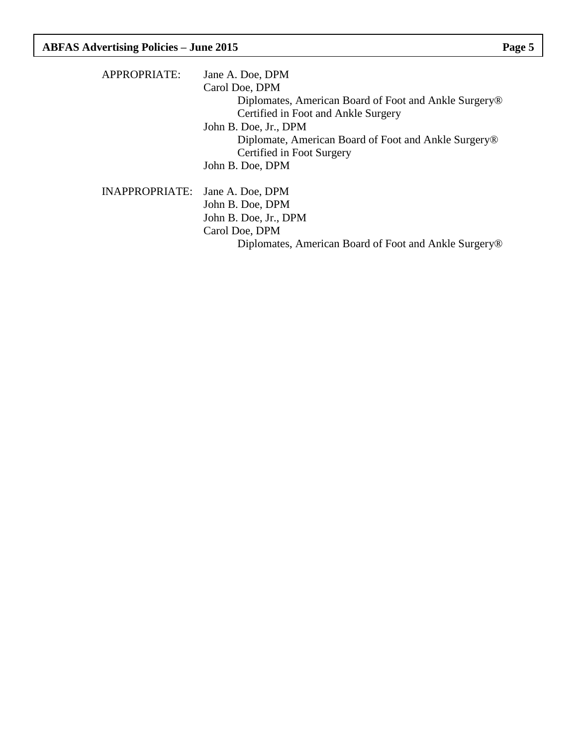| APPROPRIATE:          | Jane A. Doe, DPM                                                  |
|-----------------------|-------------------------------------------------------------------|
|                       | Carol Doe, DPM                                                    |
|                       | Diplomates, American Board of Foot and Ankle Surgery <sup>®</sup> |
|                       | Certified in Foot and Ankle Surgery                               |
|                       | John B. Doe, Jr., DPM                                             |
|                       | Diplomate, American Board of Foot and Ankle Surgery <sup>®</sup>  |
|                       | Certified in Foot Surgery                                         |
|                       | John B. Doe, DPM                                                  |
| <b>INAPPROPRIATE:</b> | Jane A. Doe, DPM                                                  |
|                       | John B. Doe, DPM                                                  |
|                       | John B. Doe, Jr., DPM                                             |
|                       | Carol Doe, DPM                                                    |
|                       | Diplomates, American Board of Foot and Ankle Surgery <sup>®</sup> |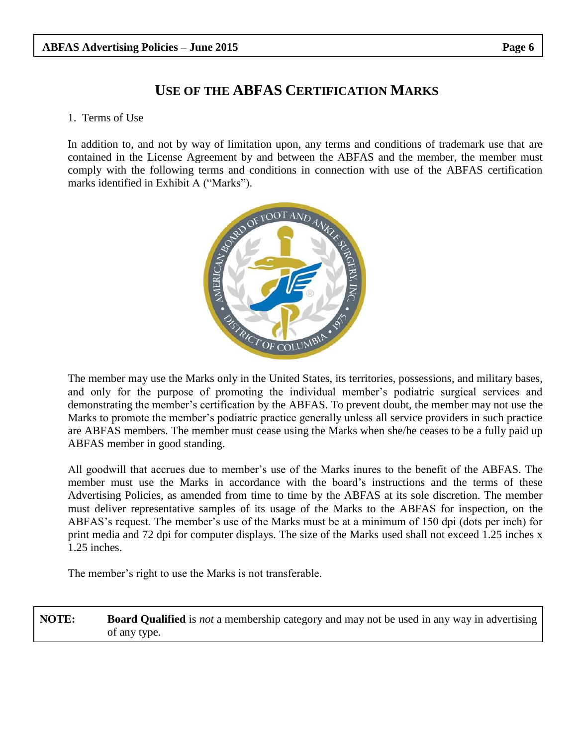## **USE OF THE ABFAS CERTIFICATION MARKS**

#### 1. Terms of Use

In addition to, and not by way of limitation upon, any terms and conditions of trademark use that are contained in the License Agreement by and between the ABFAS and the member, the member must comply with the following terms and conditions in connection with use of the ABFAS certification marks identified in Exhibit A ("Marks").



The member may use the Marks only in the United States, its territories, possessions, and military bases, and only for the purpose of promoting the individual member's podiatric surgical services and demonstrating the member's certification by the ABFAS. To prevent doubt, the member may not use the Marks to promote the member's podiatric practice generally unless all service providers in such practice are ABFAS members. The member must cease using the Marks when she/he ceases to be a fully paid up ABFAS member in good standing.

All goodwill that accrues due to member's use of the Marks inures to the benefit of the ABFAS. The member must use the Marks in accordance with the board's instructions and the terms of these Advertising Policies, as amended from time to time by the ABFAS at its sole discretion. The member must deliver representative samples of its usage of the Marks to the ABFAS for inspection, on the ABFAS's request. The member's use of the Marks must be at a minimum of 150 dpi (dots per inch) for print media and 72 dpi for computer displays. The size of the Marks used shall not exceed 1.25 inches x 1.25 inches.

The member's right to use the Marks is not transferable.

**NOTE: Board Qualified** is *not* a membership category and may not be used in any way in advertising of any type.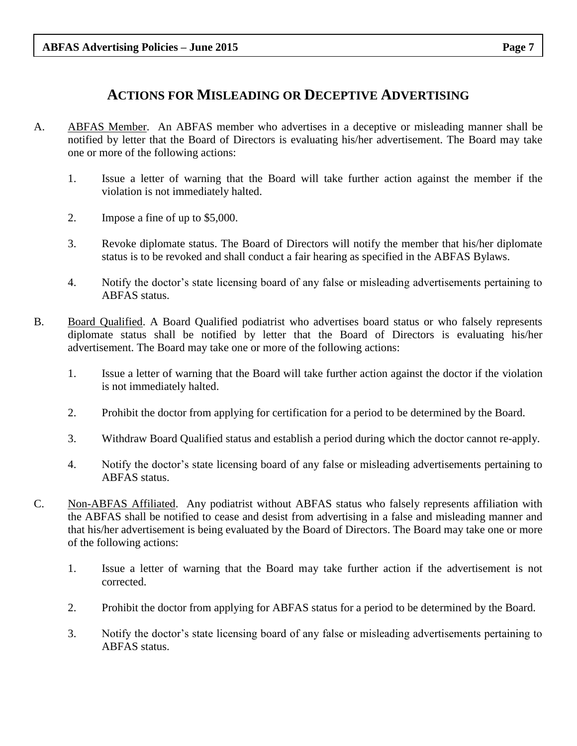### <span id="page-7-1"></span><span id="page-7-0"></span>**ACTIONS FOR MISLEADING OR DECEPTIVE ADVERTISING**

- A. ABFAS Member. An ABFAS member who advertises in a deceptive or misleading manner shall be notified by letter that the Board of Directors is evaluating his/her advertisement. The Board may take one or more of the following actions:
	- 1. Issue a letter of warning that the Board will take further action against the member if the violation is not immediately halted.
	- 2. Impose a fine of up to \$5,000.
	- 3. Revoke diplomate status. The Board of Directors will notify the member that his/her diplomate status is to be revoked and shall conduct a fair hearing as specified in the ABFAS Bylaws.
	- 4. Notify the doctor's state licensing board of any false or misleading advertisements pertaining to ABFAS status.
- <span id="page-7-2"></span>B. Board Qualified. A Board Qualified podiatrist who advertises board status or who falsely represents diplomate status shall be notified by letter that the Board of Directors is evaluating his/her advertisement. The Board may take one or more of the following actions:
	- 1. Issue a letter of warning that the Board will take further action against the doctor if the violation is not immediately halted.
	- 2. Prohibit the doctor from applying for certification for a period to be determined by the Board.
	- 3. Withdraw Board Qualified status and establish a period during which the doctor cannot re-apply.
	- 4. Notify the doctor's state licensing board of any false or misleading advertisements pertaining to ABFAS status.
- <span id="page-7-3"></span>C. Non-ABFAS Affiliated. Any podiatrist without ABFAS status who falsely represents affiliation with the ABFAS shall be notified to cease and desist from advertising in a false and misleading manner and that his/her advertisement is being evaluated by the Board of Directors. The Board may take one or more of the following actions:
	- 1. Issue a letter of warning that the Board may take further action if the advertisement is not corrected.
	- 2. Prohibit the doctor from applying for ABFAS status for a period to be determined by the Board.
	- 3. Notify the doctor's state licensing board of any false or misleading advertisements pertaining to ABFAS status.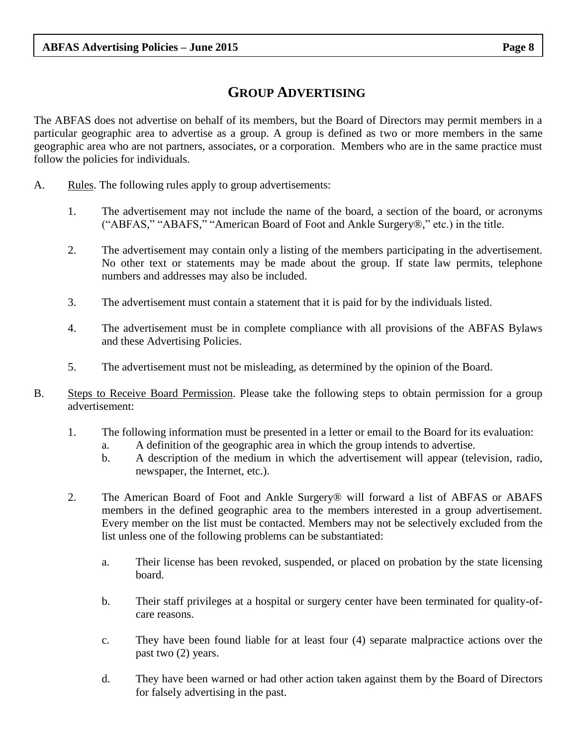## <span id="page-8-0"></span>**GROUP ADVERTISING**

The ABFAS does not advertise on behalf of its members, but the Board of Directors may permit members in a particular geographic area to advertise as a group. A group is defined as two or more members in the same geographic area who are not partners, associates, or a corporation. Members who are in the same practice must follow the policies for individuals.

- <span id="page-8-1"></span>A. Rules. The following rules apply to group advertisements:
	- 1. The advertisement may not include the name of the board, a section of the board, or acronyms ("ABFAS," "ABAFS," "American Board of Foot and Ankle Surgery®," etc.) in the title.
	- 2. The advertisement may contain only a listing of the members participating in the advertisement. No other text or statements may be made about the group. If state law permits, telephone numbers and addresses may also be included.
	- 3. The advertisement must contain a statement that it is paid for by the individuals listed.
	- 4. The advertisement must be in complete compliance with all provisions of the ABFAS Bylaws and these Advertising Policies.
	- 5. The advertisement must not be misleading, as determined by the opinion of the Board.
- <span id="page-8-2"></span>B. Steps to Receive Board Permission. Please take the following steps to obtain permission for a group advertisement:
	- 1. The following information must be presented in a letter or email to the Board for its evaluation:
		- a. A definition of the geographic area in which the group intends to advertise.
		- b. A description of the medium in which the advertisement will appear (television, radio, newspaper, the Internet, etc.).
	- 2. The American Board of Foot and Ankle Surgery® will forward a list of ABFAS or ABAFS members in the defined geographic area to the members interested in a group advertisement. Every member on the list must be contacted. Members may not be selectively excluded from the list unless one of the following problems can be substantiated:
		- a. Their license has been revoked, suspended, or placed on probation by the state licensing board.
		- b. Their staff privileges at a hospital or surgery center have been terminated for quality-ofcare reasons.
		- c. They have been found liable for at least four (4) separate malpractice actions over the past two (2) years.
		- d. They have been warned or had other action taken against them by the Board of Directors for falsely advertising in the past.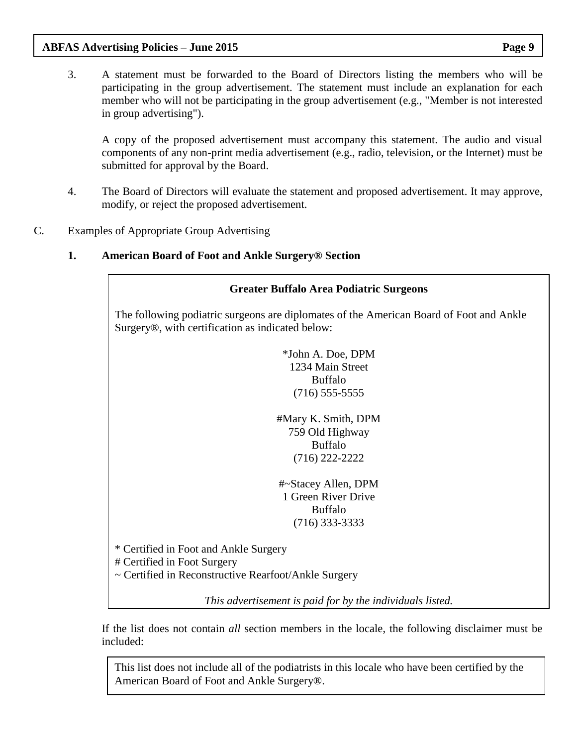#### **ABFAS Advertising Policies – June 2015 Page 9**

3. A statement must be forwarded to the Board of Directors listing the members who will be participating in the group advertisement. The statement must include an explanation for each member who will not be participating in the group advertisement (e.g., "Member is not interested in group advertising").

A copy of the proposed advertisement must accompany this statement. The audio and visual components of any non-print media advertisement (e.g., radio, television, or the Internet) must be submitted for approval by the Board.

- 4. The Board of Directors will evaluate the statement and proposed advertisement. It may approve, modify, or reject the proposed advertisement.
- C. Examples of Appropriate Group Advertising

#### **1. American Board of Foot and Ankle Surgery® Section**

## <span id="page-9-1"></span><span id="page-9-0"></span>**Greater Buffalo Area Podiatric Surgeons** The following podiatric surgeons are diplomates of the American Board of Foot and Ankle Surgery®, with certification as indicated below: \*John A. Doe, DPM 1234 Main Street Buffalo (716) 555-5555 #Mary K. Smith, DPM 759 Old Highway Buffalo (716) 222-2222 #~Stacey Allen, DPM 1 Green River Drive Buffalo (716) 333-3333 \* Certified in Foot and Ankle Surgery # Certified in Foot Surgery ~ Certified in Reconstructive Rearfoot/Ankle Surgery *This advertisement is paid for by the individuals listed.*

If the list does not contain *all* section members in the locale, the following disclaimer must be included:

This list does not include all of the podiatrists in this locale who have been certified by the American Board of Foot and Ankle Surgery®.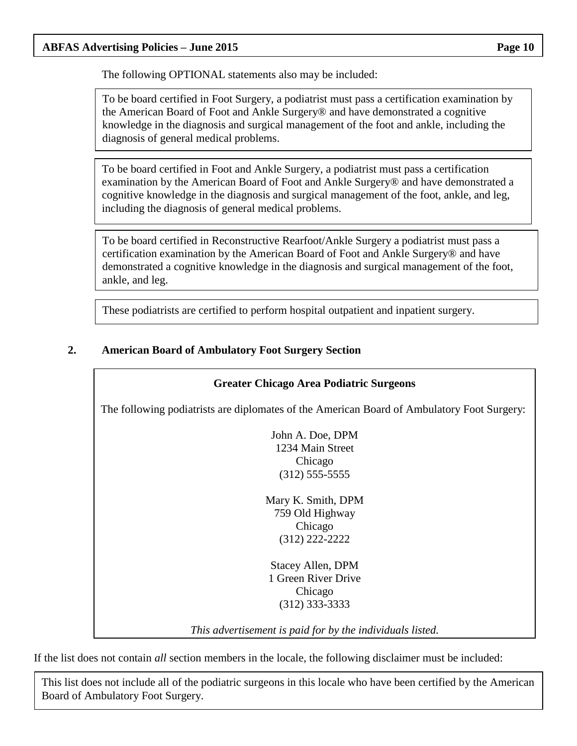#### **ABFAS Advertising Policies – June 2015 Page 10**

The following OPTIONAL statements also may be included:

To be board certified in Foot Surgery, a podiatrist must pass a certification examination by the American Board of Foot and Ankle Surgery® and have demonstrated a cognitive knowledge in the diagnosis and surgical management of the foot and ankle, including the diagnosis of general medical problems.

To be board certified in Foot and Ankle Surgery, a podiatrist must pass a certification examination by the American Board of Foot and Ankle Surgery® and have demonstrated a cognitive knowledge in the diagnosis and surgical management of the foot, ankle, and leg, including the diagnosis of general medical problems.

To be board certified in Reconstructive Rearfoot/Ankle Surgery a podiatrist must pass a certification examination by the American Board of Foot and Ankle Surgery® and have demonstrated a cognitive knowledge in the diagnosis and surgical management of the foot, ankle, and leg.

These podiatrists are certified to perform hospital outpatient and inpatient surgery.

#### **2. American Board of Ambulatory Foot Surgery Section**

#### **Greater Chicago Area Podiatric Surgeons**

The following podiatrists are diplomates of the American Board of Ambulatory Foot Surgery:

<span id="page-10-0"></span>John A. Doe, DPM 1234 Main Street Chicago (312) 555-5555

Mary K. Smith, DPM 759 Old Highway Chicago (312) 222-2222

Stacey Allen, DPM 1 Green River Drive Chicago (312) 333-3333

*This advertisement is paid for by the individuals listed.*

If the list does not contain *all* section members in the locale, the following disclaimer must be included:

This list does not include all of the podiatric surgeons in this locale who have been certified by the American Board of Ambulatory Foot Surgery.